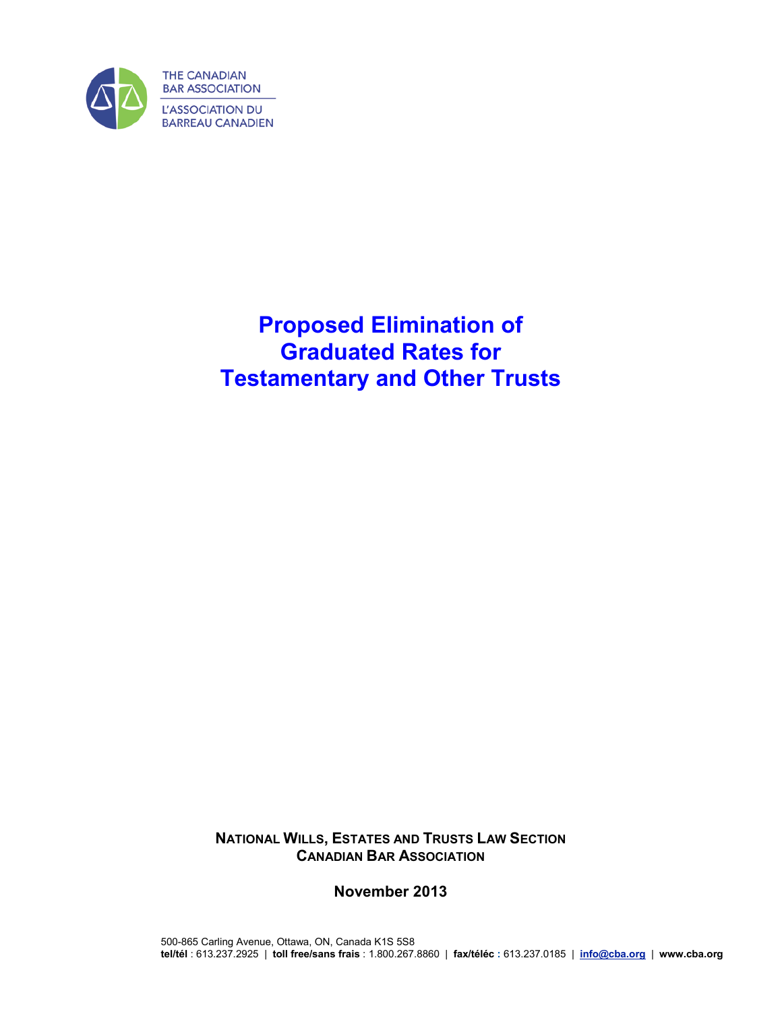

# **Proposed Elimination of Graduated Rates for Testamentary and Other Trusts**

**NATIONAL WILLS, ESTATES AND TRUSTS LAW SECTION CANADIAN BAR ASSOCIATION**

**November 2013**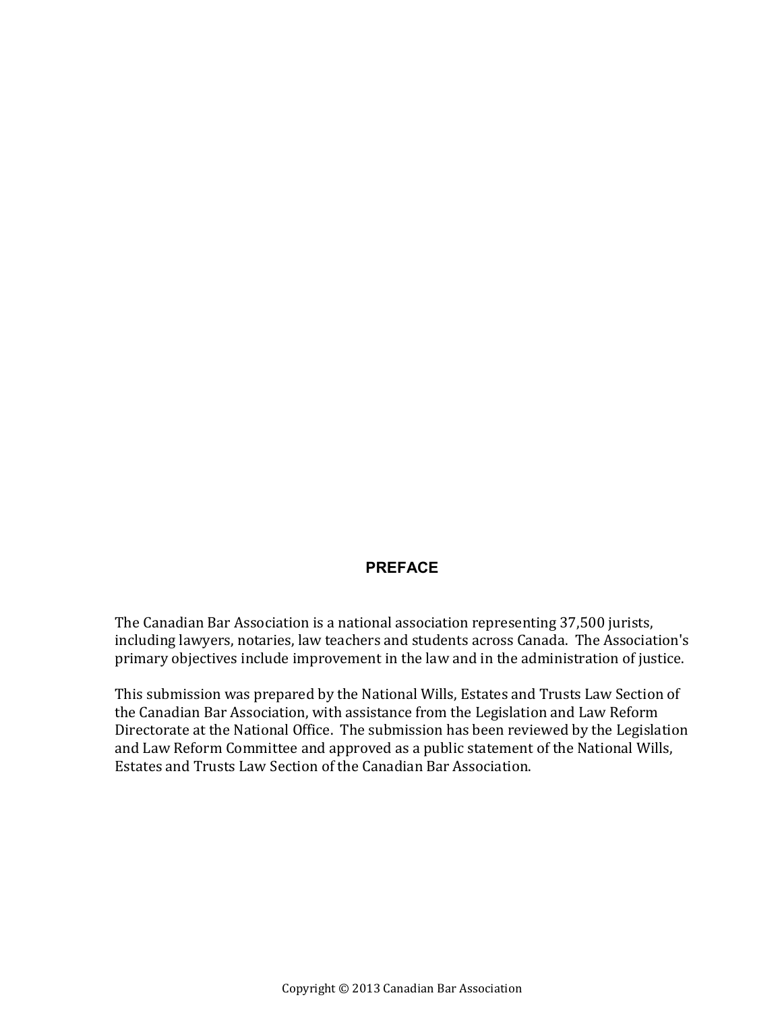### **PREFACE**

The Canadian Bar Association is a national association representing 37,500 jurists, including lawyers, notaries, law teachers and students across Canada. The Association's primary objectives include improvement in the law and in the administration of justice.

This submission was prepared by the National Wills, Estates and Trusts Law Section of the Canadian Bar Association, with assistance from the Legislation and Law Reform Directorate at the National Office. The submission has been reviewed by the Legislation and Law Reform Committee and approved as a public statement of the National Wills, Estates and Trusts Law Section of the Canadian Bar Association.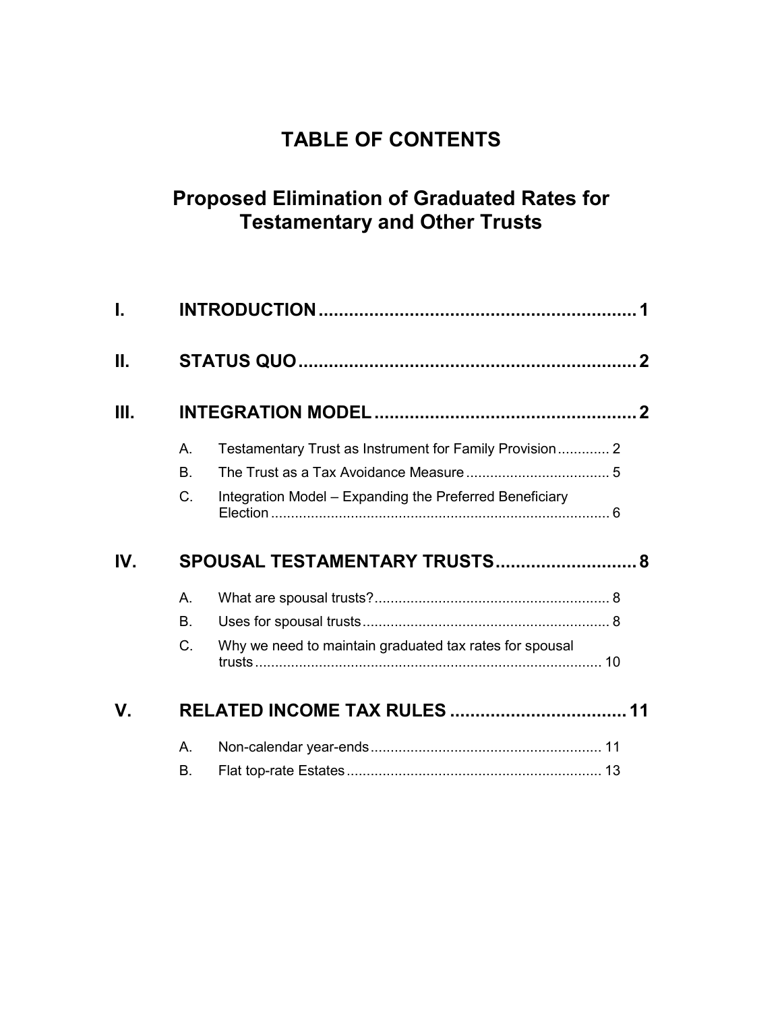# **TABLE OF CONTENTS**

# **Proposed Elimination of Graduated Rates for Testamentary and Other Trusts**

| Τ.          |                               |                                                         |  |
|-------------|-------------------------------|---------------------------------------------------------|--|
| Ш.          |                               |                                                         |  |
| Ш.          |                               |                                                         |  |
|             | $A_{1}$                       | Testamentary Trust as Instrument for Family Provision 2 |  |
|             | В.                            |                                                         |  |
|             | C.                            | Integration Model - Expanding the Preferred Beneficiary |  |
| IV.         | SPOUSAL TESTAMENTARY TRUSTS 8 |                                                         |  |
|             |                               |                                                         |  |
|             | $A_{1}$                       |                                                         |  |
|             | В.                            |                                                         |  |
|             | C.                            | Why we need to maintain graduated tax rates for spousal |  |
| $V_{\cdot}$ |                               | <b>RELATED INCOME TAX RULES  11</b>                     |  |
|             | А.                            |                                                         |  |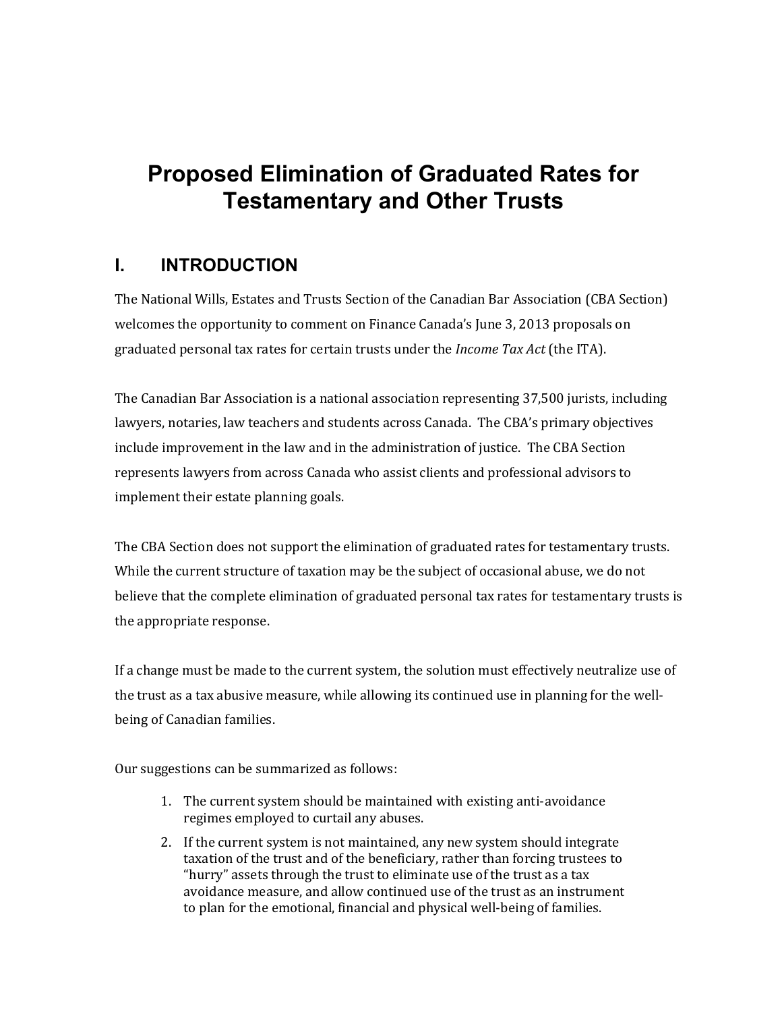# **Proposed Elimination of Graduated Rates for Testamentary and Other Trusts**

### <span id="page-4-0"></span>**I. INTRODUCTION**

The National Wills, Estates and Trusts Section of the Canadian Bar Association (CBA Section) welcomes the opportunity to comment on Finance Canada's June 3, 2013 proposals on graduated personal tax rates for certain trusts under the *Income Tax Act* (the ITA).

The Canadian Bar Association is a national association representing 37,500 jurists, including lawyers, notaries, law teachers and students across Canada. The CBA's primary objectives include improvement in the law and in the administration of justice. The CBA Section represents lawyers from across Canada who assist clients and professional advisors to implement their estate planning goals.

The CBA Section does not support the elimination of graduated rates for testamentary trusts. While the current structure of taxation may be the subject of occasional abuse, we do not believe that the complete elimination of graduated personal tax rates for testamentary trusts is the appropriate response.

If a change must be made to the current system, the solution must effectively neutralize use of the trust as a tax abusive measure, while allowing its continued use in planning for the wellbeing of Canadian families.

Our suggestions can be summarized as follows:

- 1. The current system should be maintained with existing anti-avoidance regimes employed to curtail any abuses.
- 2. If the current system is not maintained, any new system should integrate taxation of the trust and of the beneficiary, rather than forcing trustees to "hurry" assets through the trust to eliminate use of the trust as a tax avoidance measure, and allow continued use of the trust as an instrument to plan for the emotional, financial and physical well-being of families.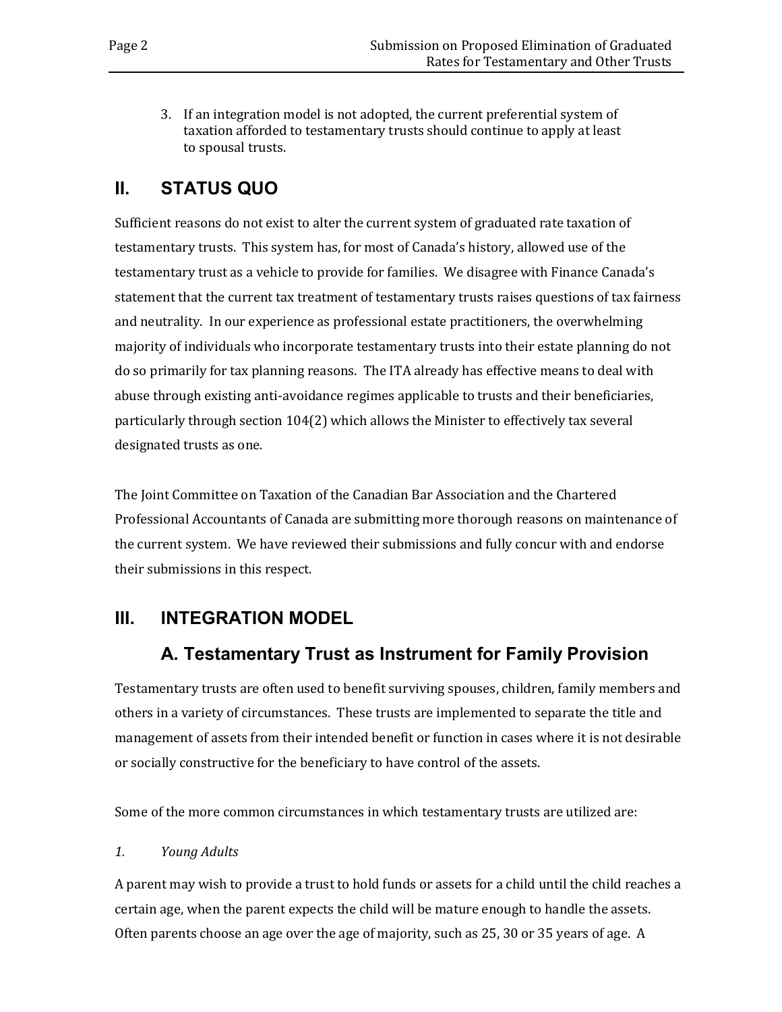3. If an integration model is not adopted, the current preferential system of taxation afforded to testamentary trusts should continue to apply at least to spousal trusts.

### <span id="page-5-0"></span>**II. STATUS QUO**

Sufficient reasons do not exist to alter the current system of graduated rate taxation of testamentary trusts. This system has, for most of Canada's history, allowed use of the testamentary trust as a vehicle to provide for families. We disagree with Finance Canada's statement that the current tax treatment of testamentary trusts raises questions of tax fairness and neutrality. In our experience as professional estate practitioners, the overwhelming majority of individuals who incorporate testamentary trusts into their estate planning do not do so primarily for tax planning reasons. The ITA already has effective means to deal with abuse through existing anti-avoidance regimes applicable to trusts and their beneficiaries, particularly through section 104(2) which allows the Minister to effectively tax several designated trusts as one.

The Joint Committee on Taxation of the Canadian Bar Association and the Chartered Professional Accountants of Canada are submitting more thorough reasons on maintenance of the current system. We have reviewed their submissions and fully concur with and endorse their submissions in this respect.

### <span id="page-5-2"></span><span id="page-5-1"></span>**III. INTEGRATION MODEL**

### **A. Testamentary Trust as Instrument for Family Provision**

Testamentary trusts are often used to benefit surviving spouses, children, family members and others in a variety of circumstances. These trusts are implemented to separate the title and management of assets from their intended benefit or function in cases where it is not desirable or socially constructive for the beneficiary to have control of the assets.

Some of the more common circumstances in which testamentary trusts are utilized are:

### *1. Young Adults*

A parent may wish to provide a trust to hold funds or assets for a child until the child reaches a certain age, when the parent expects the child will be mature enough to handle the assets. Often parents choose an age over the age of majority, such as 25, 30 or 35 years of age. A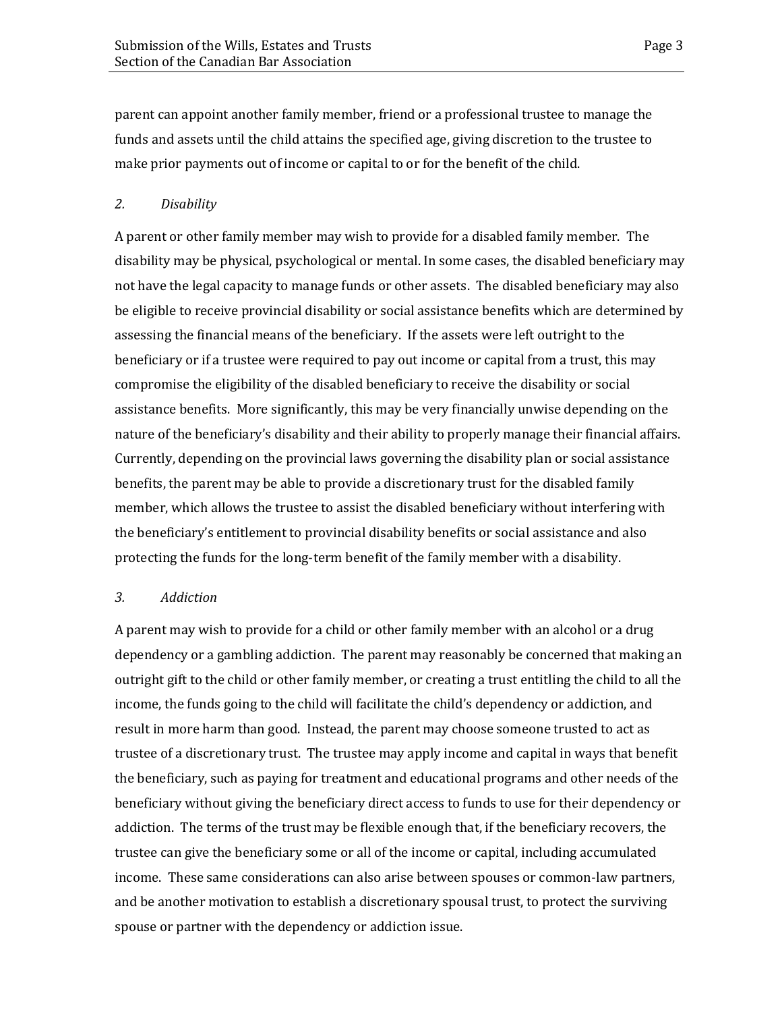parent can appoint another family member, friend or a professional trustee to manage the funds and assets until the child attains the specified age, giving discretion to the trustee to make prior payments out of income or capital to or for the benefit of the child.

#### *2. Disability*

A parent or other family member may wish to provide for a disabled family member. The disability may be physical, psychological or mental. In some cases, the disabled beneficiary may not have the legal capacity to manage funds or other assets. The disabled beneficiary may also be eligible to receive provincial disability or social assistance benefits which are determined by assessing the financial means of the beneficiary. If the assets were left outright to the beneficiary or if a trustee were required to pay out income or capital from a trust, this may compromise the eligibility of the disabled beneficiary to receive the disability or social assistance benefits. More significantly, this may be very financially unwise depending on the nature of the beneficiary's disability and their ability to properly manage their financial affairs. Currently, depending on the provincial laws governing the disability plan or social assistance benefits, the parent may be able to provide a discretionary trust for the disabled family member, which allows the trustee to assist the disabled beneficiary without interfering with the beneficiary's entitlement to provincial disability benefits or social assistance and also protecting the funds for the long-term benefit of the family member with a disability.

#### *3. Addiction*

A parent may wish to provide for a child or other family member with an alcohol or a drug dependency or a gambling addiction. The parent may reasonably be concerned that making an outright gift to the child or other family member, or creating a trust entitling the child to all the income, the funds going to the child will facilitate the child's dependency or addiction, and result in more harm than good. Instead, the parent may choose someone trusted to act as trustee of a discretionary trust. The trustee may apply income and capital in ways that benefit the beneficiary, such as paying for treatment and educational programs and other needs of the beneficiary without giving the beneficiary direct access to funds to use for their dependency or addiction. The terms of the trust may be flexible enough that, if the beneficiary recovers, the trustee can give the beneficiary some or all of the income or capital, including accumulated income. These same considerations can also arise between spouses or common-law partners, and be another motivation to establish a discretionary spousal trust, to protect the surviving spouse or partner with the dependency or addiction issue.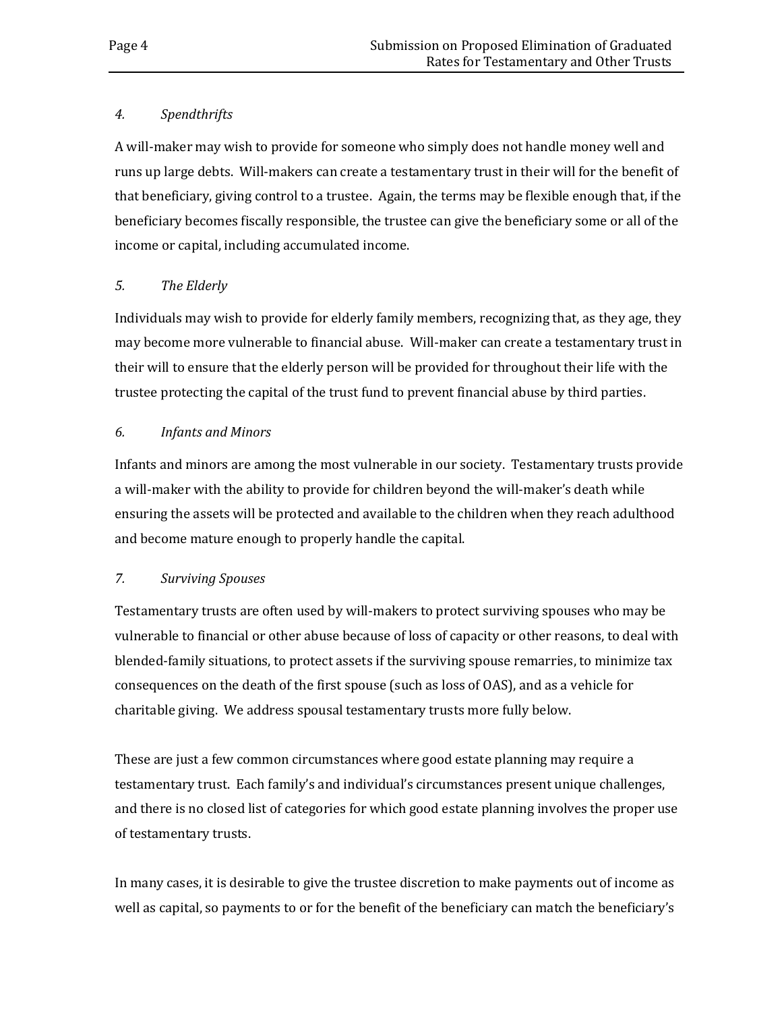#### *4. Spendthrifts*

A will-maker may wish to provide for someone who simply does not handle money well and runs up large debts. Will-makers can create a testamentary trust in their will for the benefit of that beneficiary, giving control to a trustee. Again, the terms may be flexible enough that, if the beneficiary becomes fiscally responsible, the trustee can give the beneficiary some or all of the income or capital, including accumulated income.

### *5. The Elderly*

Individuals may wish to provide for elderly family members, recognizing that, as they age, they may become more vulnerable to financial abuse. Will-maker can create a testamentary trust in their will to ensure that the elderly person will be provided for throughout their life with the trustee protecting the capital of the trust fund to prevent financial abuse by third parties.

#### *6. Infants and Minors*

Infants and minors are among the most vulnerable in our society. Testamentary trusts provide a will-maker with the ability to provide for children beyond the will-maker's death while ensuring the assets will be protected and available to the children when they reach adulthood and become mature enough to properly handle the capital.

#### *7. Surviving Spouses*

Testamentary trusts are often used by will-makers to protect surviving spouses who may be vulnerable to financial or other abuse because of loss of capacity or other reasons, to deal with blended-family situations, to protect assets if the surviving spouse remarries, to minimize tax consequences on the death of the first spouse (such as loss of OAS), and as a vehicle for charitable giving. We address spousal testamentary trusts more fully below.

These are just a few common circumstances where good estate planning may require a testamentary trust. Each family's and individual's circumstances present unique challenges, and there is no closed list of categories for which good estate planning involves the proper use of testamentary trusts.

In many cases, it is desirable to give the trustee discretion to make payments out of income as well as capital, so payments to or for the benefit of the beneficiary can match the beneficiary's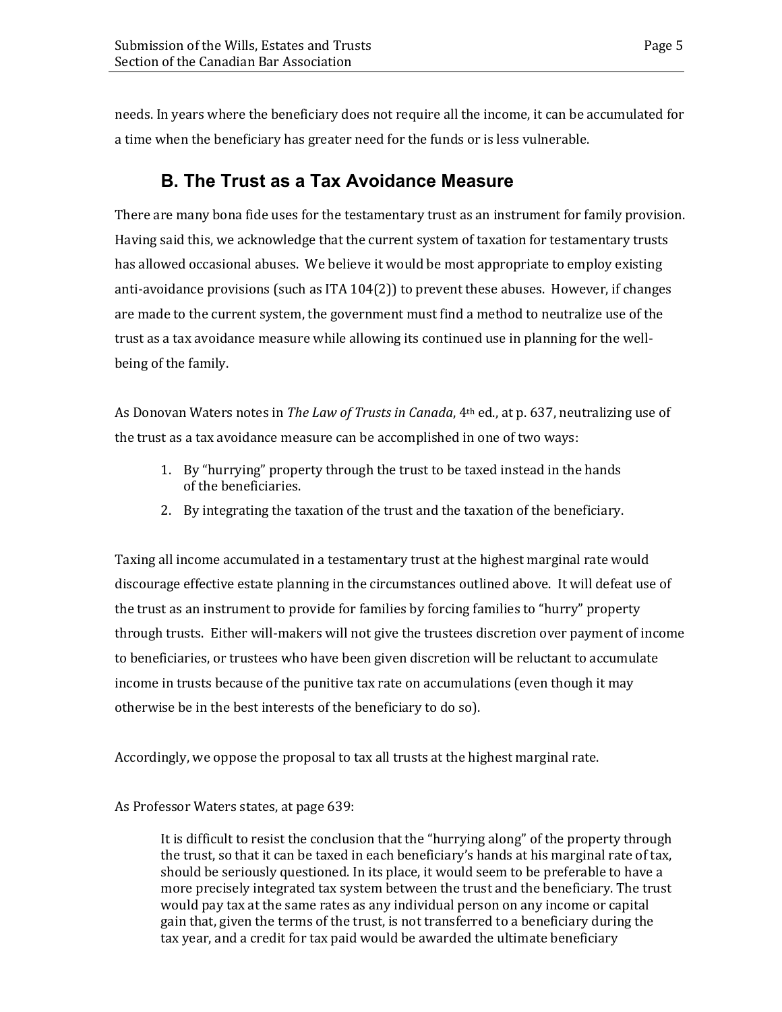<span id="page-8-0"></span>needs. In years where the beneficiary does not require all the income, it can be accumulated for a time when the beneficiary has greater need for the funds or is less vulnerable.

### **B. The Trust as a Tax Avoidance Measure**

There are many bona fide uses for the testamentary trust as an instrument for family provision. Having said this, we acknowledge that the current system of taxation for testamentary trusts has allowed occasional abuses. We believe it would be most appropriate to employ existing anti-avoidance provisions (such as ITA 104(2)) to prevent these abuses. However, if changes are made to the current system, the government must find a method to neutralize use of the trust as a tax avoidance measure while allowing its continued use in planning for the wellbeing of the family.

As Donovan Waters notes in *The Law of Trusts in Canada*, 4th ed., at p. 637, neutralizing use of the trust as a tax avoidance measure can be accomplished in one of two ways:

- 1. By "hurrying" property through the trust to be taxed instead in the hands of the beneficiaries.
- 2. By integrating the taxation of the trust and the taxation of the beneficiary.

Taxing all income accumulated in a testamentary trust at the highest marginal rate would discourage effective estate planning in the circumstances outlined above. It will defeat use of the trust as an instrument to provide for families by forcing families to "hurry" property through trusts. Either will-makers will not give the trustees discretion over payment of income to beneficiaries, or trustees who have been given discretion will be reluctant to accumulate income in trusts because of the punitive tax rate on accumulations (even though it may otherwise be in the best interests of the beneficiary to do so).

Accordingly, we oppose the proposal to tax all trusts at the highest marginal rate.

### As Professor Waters states, at page 639:

It is difficult to resist the conclusion that the "hurrying along" of the property through the trust, so that it can be taxed in each beneficiary's hands at his marginal rate of tax, should be seriously questioned. In its place, it would seem to be preferable to have a more precisely integrated tax system between the trust and the beneficiary. The trust would pay tax at the same rates as any individual person on any income or capital gain that, given the terms of the trust, is not transferred to a beneficiary during the tax year, and a credit for tax paid would be awarded the ultimate beneficiary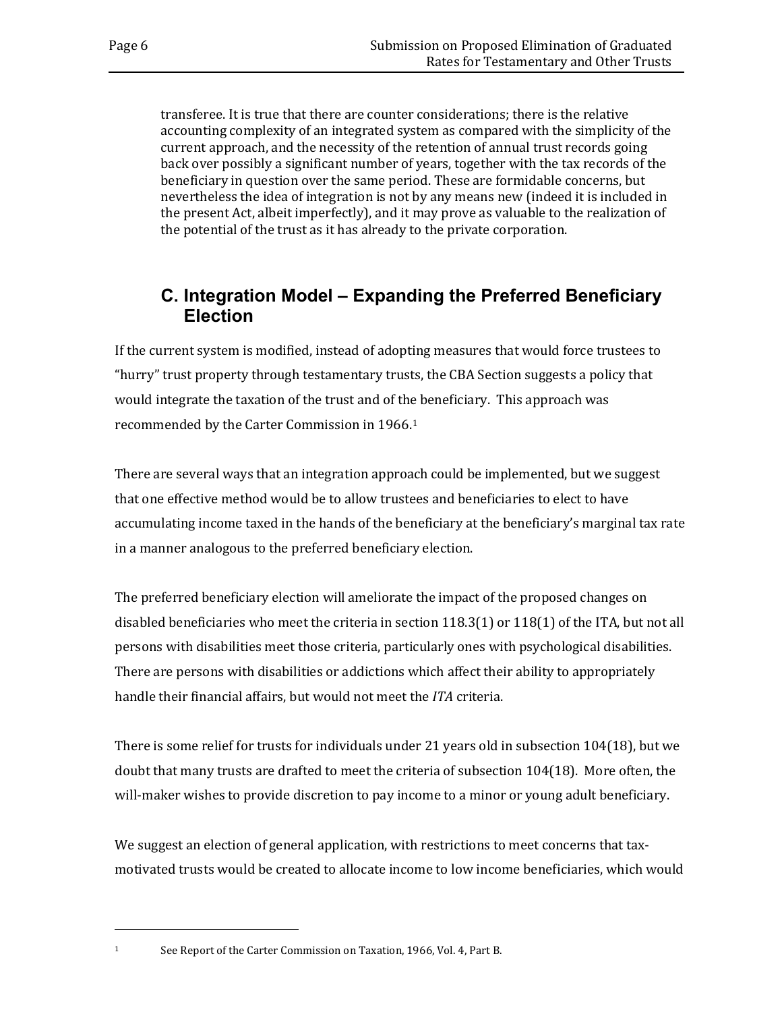transferee. It is true that there are counter considerations; there is the relative accounting complexity of an integrated system as compared with the simplicity of the current approach, and the necessity of the retention of annual trust records going back over possibly a significant number of years, together with the tax records of the beneficiary in question over the same period. These are formidable concerns, but nevertheless the idea of integration is not by any means new (indeed it is included in the present Act, albeit imperfectly), and it may prove as valuable to the realization of the potential of the trust as it has already to the private corporation.

### <span id="page-9-0"></span>**C. Integration Model – Expanding the Preferred Beneficiary Election**

If the current system is modified, instead of adopting measures that would force trustees to "hurry" trust property through testamentary trusts, the CBA Section suggests a policy that would integrate the taxation of the trust and of the beneficiary. This approach was recommended by the Carter Commission in 1966.[1](#page-9-1)

There are several ways that an integration approach could be implemented, but we suggest that one effective method would be to allow trustees and beneficiaries to elect to have accumulating income taxed in the hands of the beneficiary at the beneficiary's marginal tax rate in a manner analogous to the preferred beneficiary election.

The preferred beneficiary election will ameliorate the impact of the proposed changes on disabled beneficiaries who meet the criteria in section 118.3(1) or 118(1) of the ITA, but not all persons with disabilities meet those criteria, particularly ones with psychological disabilities. There are persons with disabilities or addictions which affect their ability to appropriately handle their financial affairs, but would not meet the *ITA* criteria.

There is some relief for trusts for individuals under 21 years old in subsection 104(18), but we doubt that many trusts are drafted to meet the criteria of subsection 104(18). More often, the will-maker wishes to provide discretion to pay income to a minor or young adult beneficiary.

We suggest an election of general application, with restrictions to meet concerns that taxmotivated trusts would be created to allocate income to low income beneficiaries, which would

<span id="page-9-1"></span>i<br>I

<sup>1</sup> See Report of the Carter Commission on Taxation, 1966, Vol. 4, Part B.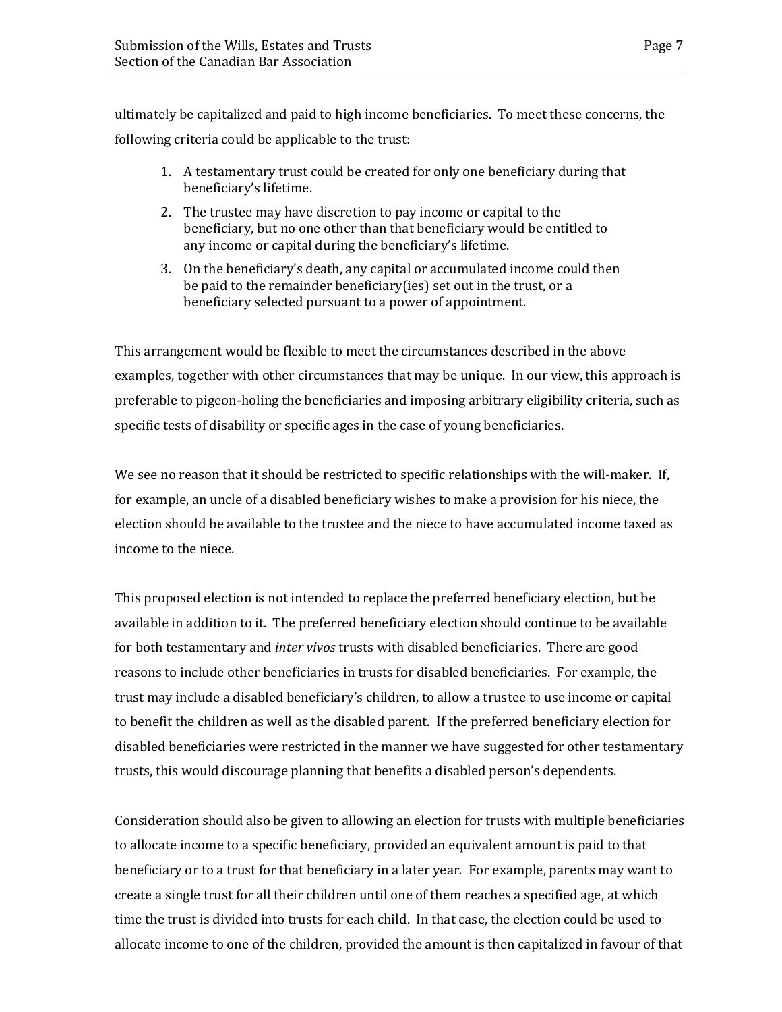ultimately be capitalized and paid to high income beneficiaries. To meet these concerns, the following criteria could be applicable to the trust:

- 1. A testamentary trust could be created for only one beneficiary during that beneficiary's lifetime.
- 2. The trustee may have discretion to pay income or capital to the beneficiary, but no one other than that beneficiary would be entitled to any income or capital during the beneficiary's lifetime.
- 3. On the beneficiary's death, any capital or accumulated income could then be paid to the remainder beneficiary(ies) set out in the trust, or a beneficiary selected pursuant to a power of appointment.

This arrangement would be flexible to meet the circumstances described in the above examples, together with other circumstances that may be unique. In our view, this approach is preferable to pigeon-holing the beneficiaries and imposing arbitrary eligibility criteria, such as specific tests of disability or specific ages in the case of young beneficiaries.

We see no reason that it should be restricted to specific relationships with the will-maker. If, for example, an uncle of a disabled beneficiary wishes to make a provision for his niece, the election should be available to the trustee and the niece to have accumulated income taxed as income to the niece.

This proposed election is not intended to replace the preferred beneficiary election, but be available in addition to it. The preferred beneficiary election should continue to be available for both testamentary and *inter vivos* trusts with disabled beneficiaries. There are good reasons to include other beneficiaries in trusts for disabled beneficiaries. For example, the trust may include a disabled beneficiary's children, to allow a trustee to use income or capital to benefit the children as well as the disabled parent. If the preferred beneficiary election for disabled beneficiaries were restricted in the manner we have suggested for other testamentary trusts, this would discourage planning that benefits a disabled person's dependents.

Consideration should also be given to allowing an election for trusts with multiple beneficiaries to allocate income to a specific beneficiary, provided an equivalent amount is paid to that beneficiary or to a trust for that beneficiary in a later year. For example, parents may want to create a single trust for all their children until one of them reaches a specified age, at which time the trust is divided into trusts for each child. In that case, the election could be used to allocate income to one of the children, provided the amount is then capitalized in favour of that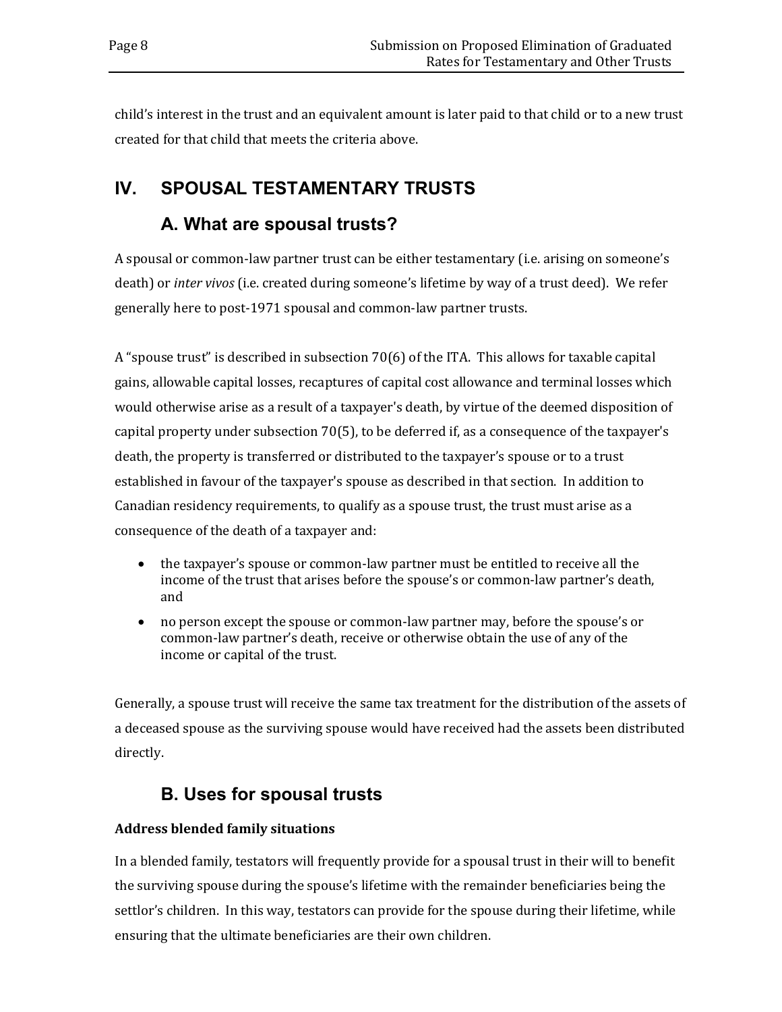child's interest in the trust and an equivalent amount is later paid to that child or to a new trust created for that child that meets the criteria above.

## <span id="page-11-1"></span><span id="page-11-0"></span>**IV. SPOUSAL TESTAMENTARY TRUSTS**

### **A. What are spousal trusts?**

A spousal or common-law partner trust can be either testamentary (i.e. arising on someone's death) or *inter vivos* (i.e. created during someone's lifetime by way of a trust deed). We refer generally here to post-1971 spousal and common-law partner trusts.

A "spouse trust" is described in subsection 70(6) of the ITA. This allows for taxable capital gains, allowable capital losses, recaptures of capital cost allowance and terminal losses which would otherwise arise as a result of a taxpayer's death, by virtue of the deemed disposition of capital property under subsection 70(5), to be deferred if, as a consequence of the taxpayer's death, the property is transferred or distributed to the taxpayer's spouse or to a trust established in favour of the taxpayer's spouse as described in that section. In addition to Canadian residency requirements, to qualify as a spouse trust, the trust must arise as a consequence of the death of a taxpayer and:

- the taxpayer's spouse or common-law partner must be entitled to receive all the income of the trust that arises before the spouse's or common-law partner's death, and
- no person except the spouse or common-law partner may, before the spouse's or common-law partner's death, receive or otherwise obtain the use of any of the income or capital of the trust.

Generally, a spouse trust will receive the same tax treatment for the distribution of the assets of a deceased spouse as the surviving spouse would have received had the assets been distributed directly.

## <span id="page-11-2"></span>**B. Uses for spousal trusts**

### **Address blended family situations**

In a blended family, testators will frequently provide for a spousal trust in their will to benefit the surviving spouse during the spouse's lifetime with the remainder beneficiaries being the settlor's children. In this way, testators can provide for the spouse during their lifetime, while ensuring that the ultimate beneficiaries are their own children.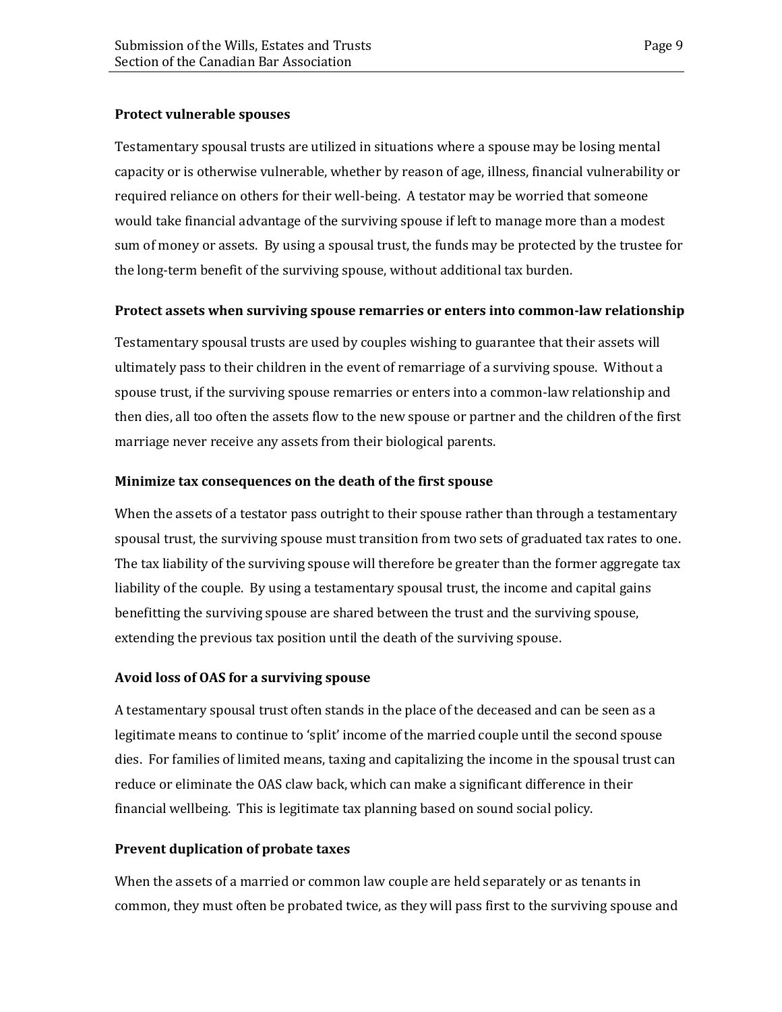#### **Protect vulnerable spouses**

Testamentary spousal trusts are utilized in situations where a spouse may be losing mental capacity or is otherwise vulnerable, whether by reason of age, illness, financial vulnerability or required reliance on others for their well-being. A testator may be worried that someone would take financial advantage of the surviving spouse if left to manage more than a modest sum of money or assets. By using a spousal trust, the funds may be protected by the trustee for the long-term benefit of the surviving spouse, without additional tax burden.

#### **Protect assets when surviving spouse remarries or enters into common-law relationship**

Testamentary spousal trusts are used by couples wishing to guarantee that their assets will ultimately pass to their children in the event of remarriage of a surviving spouse. Without a spouse trust, if the surviving spouse remarries or enters into a common-law relationship and then dies, all too often the assets flow to the new spouse or partner and the children of the first marriage never receive any assets from their biological parents.

### **Minimize tax consequences on the death of the first spouse**

When the assets of a testator pass outright to their spouse rather than through a testamentary spousal trust, the surviving spouse must transition from two sets of graduated tax rates to one. The tax liability of the surviving spouse will therefore be greater than the former aggregate tax liability of the couple. By using a testamentary spousal trust, the income and capital gains benefitting the surviving spouse are shared between the trust and the surviving spouse, extending the previous tax position until the death of the surviving spouse.

### **Avoid loss of OAS for a surviving spouse**

A testamentary spousal trust often stands in the place of the deceased and can be seen as a legitimate means to continue to 'split' income of the married couple until the second spouse dies. For families of limited means, taxing and capitalizing the income in the spousal trust can reduce or eliminate the OAS claw back, which can make a significant difference in their financial wellbeing. This is legitimate tax planning based on sound social policy.

### **Prevent duplication of probate taxes**

When the assets of a married or common law couple are held separately or as tenants in common, they must often be probated twice, as they will pass first to the surviving spouse and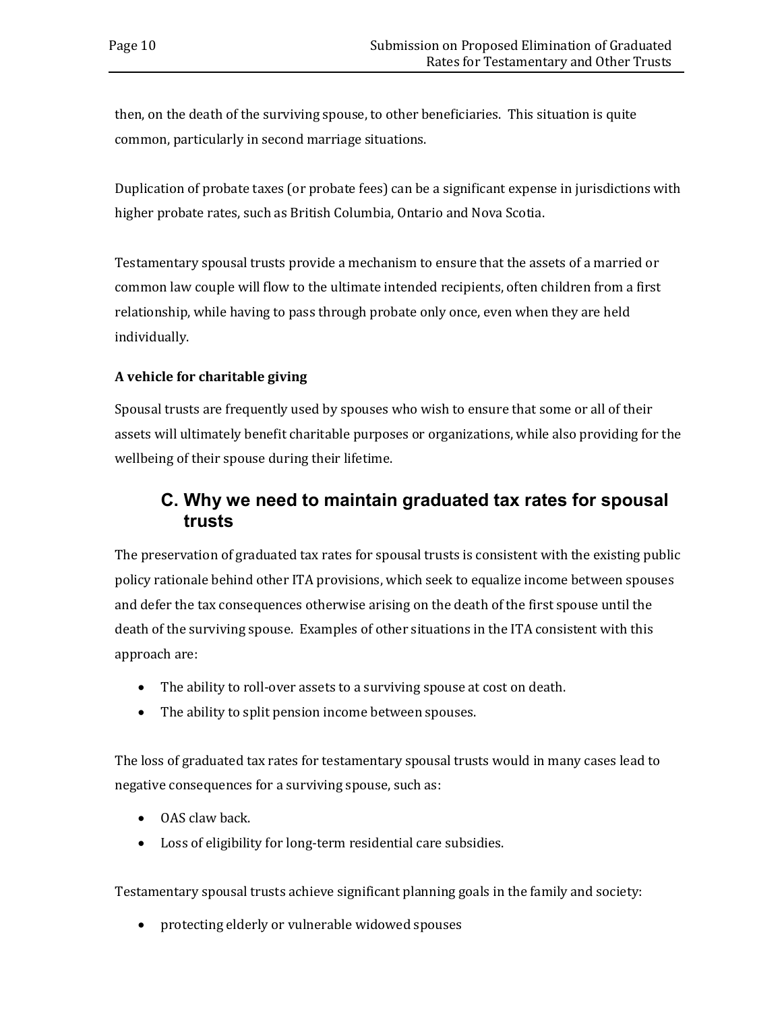then, on the death of the surviving spouse, to other beneficiaries. This situation is quite common, particularly in second marriage situations.

Duplication of probate taxes (or probate fees) can be a significant expense in jurisdictions with higher probate rates, such as British Columbia, Ontario and Nova Scotia.

Testamentary spousal trusts provide a mechanism to ensure that the assets of a married or common law couple will flow to the ultimate intended recipients, often children from a first relationship, while having to pass through probate only once, even when they are held individually.

### **A vehicle for charitable giving**

Spousal trusts are frequently used by spouses who wish to ensure that some or all of their assets will ultimately benefit charitable purposes or organizations, while also providing for the wellbeing of their spouse during their lifetime.

### <span id="page-13-0"></span>**C. Why we need to maintain graduated tax rates for spousal trusts**

The preservation of graduated tax rates for spousal trusts is consistent with the existing public policy rationale behind other ITA provisions, which seek to equalize income between spouses and defer the tax consequences otherwise arising on the death of the first spouse until the death of the surviving spouse. Examples of other situations in the ITA consistent with this approach are:

- The ability to roll-over assets to a surviving spouse at cost on death.
- The ability to split pension income between spouses.

The loss of graduated tax rates for testamentary spousal trusts would in many cases lead to negative consequences for a surviving spouse, such as:

- OAS claw back.
- Loss of eligibility for long-term residential care subsidies.

Testamentary spousal trusts achieve significant planning goals in the family and society:

• protecting elderly or vulnerable widowed spouses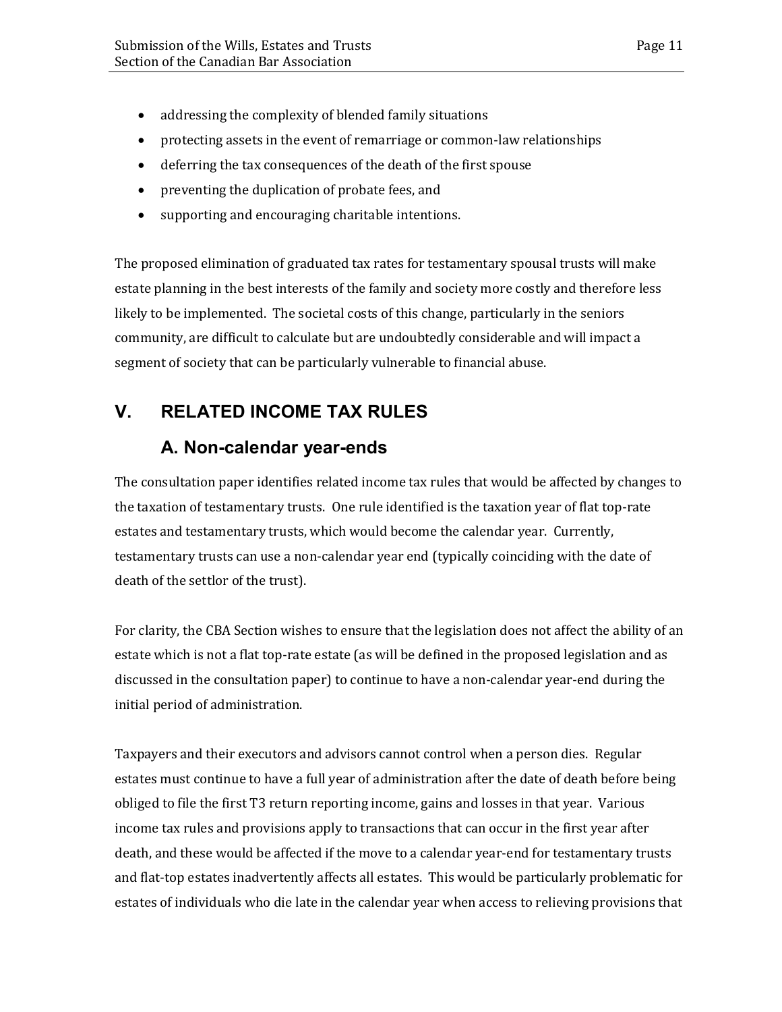- addressing the complexity of blended family situations
- protecting assets in the event of remarriage or common-law relationships
- deferring the tax consequences of the death of the first spouse
- preventing the duplication of probate fees, and
- supporting and encouraging charitable intentions.

The proposed elimination of graduated tax rates for testamentary spousal trusts will make estate planning in the best interests of the family and society more costly and therefore less likely to be implemented. The societal costs of this change, particularly in the seniors community, are difficult to calculate but are undoubtedly considerable and will impact a segment of society that can be particularly vulnerable to financial abuse.

### <span id="page-14-1"></span><span id="page-14-0"></span>**V. RELATED INCOME TAX RULES**

### **A. Non-calendar year-ends**

The consultation paper identifies related income tax rules that would be affected by changes to the taxation of testamentary trusts. One rule identified is the taxation year of flat top-rate estates and testamentary trusts, which would become the calendar year. Currently, testamentary trusts can use a non-calendar year end (typically coinciding with the date of death of the settlor of the trust).

For clarity, the CBA Section wishes to ensure that the legislation does not affect the ability of an estate which is not a flat top-rate estate (as will be defined in the proposed legislation and as discussed in the consultation paper) to continue to have a non-calendar year-end during the initial period of administration.

Taxpayers and their executors and advisors cannot control when a person dies. Regular estates must continue to have a full year of administration after the date of death before being obliged to file the first T3 return reporting income, gains and losses in that year. Various income tax rules and provisions apply to transactions that can occur in the first year after death, and these would be affected if the move to a calendar year-end for testamentary trusts and flat-top estates inadvertently affects all estates. This would be particularly problematic for estates of individuals who die late in the calendar year when access to relieving provisions that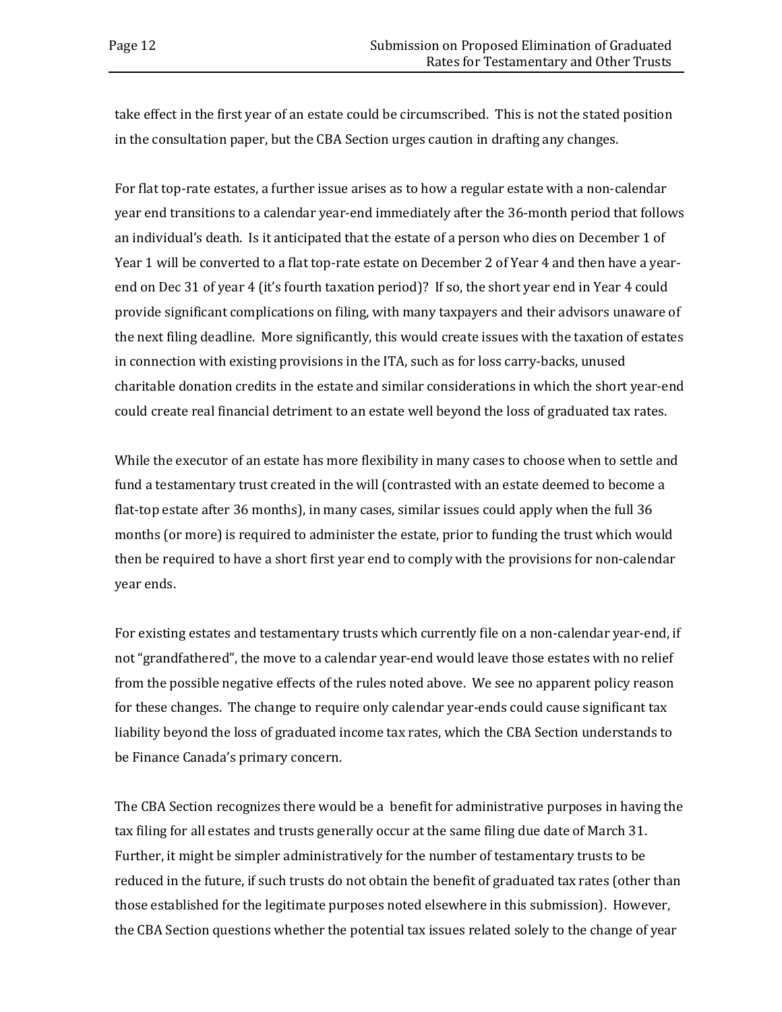take effect in the first year of an estate could be circumscribed. This is not the stated position in the consultation paper, but the CBA Section urges caution in drafting any changes.

For flat top-rate estates, a further issue arises as to how a regular estate with a non-calendar year end transitions to a calendar year-end immediately after the 36-month period that follows an individual's death. Is it anticipated that the estate of a person who dies on December 1 of Year 1 will be converted to a flat top-rate estate on December 2 of Year 4 and then have a yearend on Dec 31 of year 4 (it's fourth taxation period)? If so, the short year end in Year 4 could provide significant complications on filing, with many taxpayers and their advisors unaware of the next filing deadline. More significantly, this would create issues with the taxation of estates in connection with existing provisions in the ITA, such as for loss carry-backs, unused charitable donation credits in the estate and similar considerations in which the short year-end could create real financial detriment to an estate well beyond the loss of graduated tax rates.

While the executor of an estate has more flexibility in many cases to choose when to settle and fund a testamentary trust created in the will (contrasted with an estate deemed to become a flat-top estate after 36 months), in many cases, similar issues could apply when the full 36 months (or more) is required to administer the estate, prior to funding the trust which would then be required to have a short first year end to comply with the provisions for non-calendar year ends.

For existing estates and testamentary trusts which currently file on a non-calendar year-end, if not "grandfathered", the move to a calendar year-end would leave those estates with no relief from the possible negative effects of the rules noted above. We see no apparent policy reason for these changes. The change to require only calendar year-ends could cause significant tax liability beyond the loss of graduated income tax rates, which the CBA Section understands to be Finance Canada's primary concern.

The CBA Section recognizes there would be a benefit for administrative purposes in having the tax filing for all estates and trusts generally occur at the same filing due date of March 31. Further, it might be simpler administratively for the number of testamentary trusts to be reduced in the future, if such trusts do not obtain the benefit of graduated tax rates (other than those established for the legitimate purposes noted elsewhere in this submission). However, the CBA Section questions whether the potential tax issues related solely to the change of year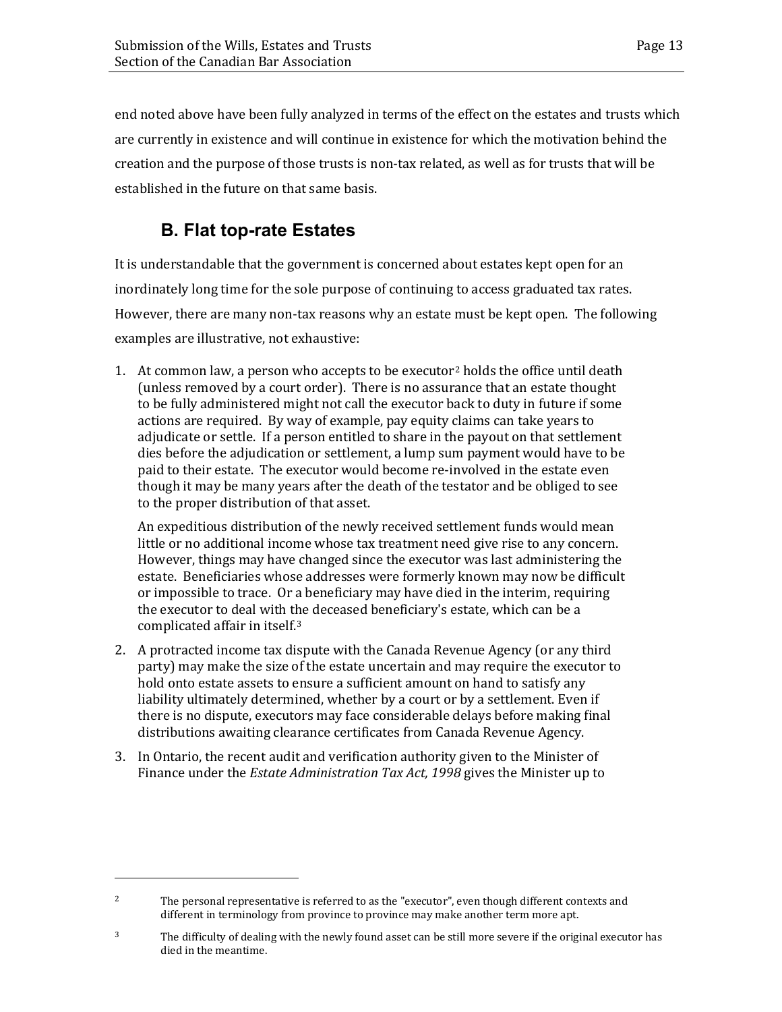end noted above have been fully analyzed in terms of the effect on the estates and trusts which are currently in existence and will continue in existence for which the motivation behind the creation and the purpose of those trusts is non-tax related, as well as for trusts that will be established in the future on that same basis.

# <span id="page-16-0"></span>**B. Flat top-rate Estates**

It is understandable that the government is concerned about estates kept open for an inordinately long time for the sole purpose of continuing to access graduated tax rates. However, there are many non-tax reasons why an estate must be kept open. The following examples are illustrative, not exhaustive:

1. At common law, a person who accepts to be executor<sup>[2](#page-16-1)</sup> holds the office until death (unless removed by a court order). There is no assurance that an estate thought to be fully administered might not call the executor back to duty in future if some actions are required. By way of example, pay equity claims can take years to adjudicate or settle. If a person entitled to share in the payout on that settlement dies before the adjudication or settlement, a lump sum payment would have to be paid to their estate. The executor would become re-involved in the estate even though it may be many years after the death of the testator and be obliged to see to the proper distribution of that asset.

An expeditious distribution of the newly received settlement funds would mean little or no additional income whose tax treatment need give rise to any concern. However, things may have changed since the executor was last administering the estate. Beneficiaries whose addresses were formerly known may now be difficult or impossible to trace. Or a beneficiary may have died in the interim, requiring the executor to deal with t[he](#page-16-2) deceased beneficiary's estate, which can be a complicated affair in itself.3

- 2. A protracted income tax dispute with the Canada Revenue Agency (or any third party) may make the size of the estate uncertain and may require the executor to hold onto estate assets to ensure a sufficient amount on hand to satisfy any liability ultimately determined, whether by a court or by a settlement. Even if there is no dispute, executors may face considerable delays before making final distributions awaiting clearance certificates from Canada Revenue Agency.
- 3. In Ontario, the recent audit and verification authority given to the Minister of Finance under the *Estate Administration Tax Act, 1998* gives the Minister up to

i<br>I

<span id="page-16-1"></span><sup>&</sup>lt;sup>2</sup> The personal representative is referred to as the "executor", even though different contexts and different in terminology from province to province may make another term more apt.

<span id="page-16-2"></span><sup>&</sup>lt;sup>3</sup> The difficulty of dealing with the newly found asset can be still more severe if the original executor has died in the meantime.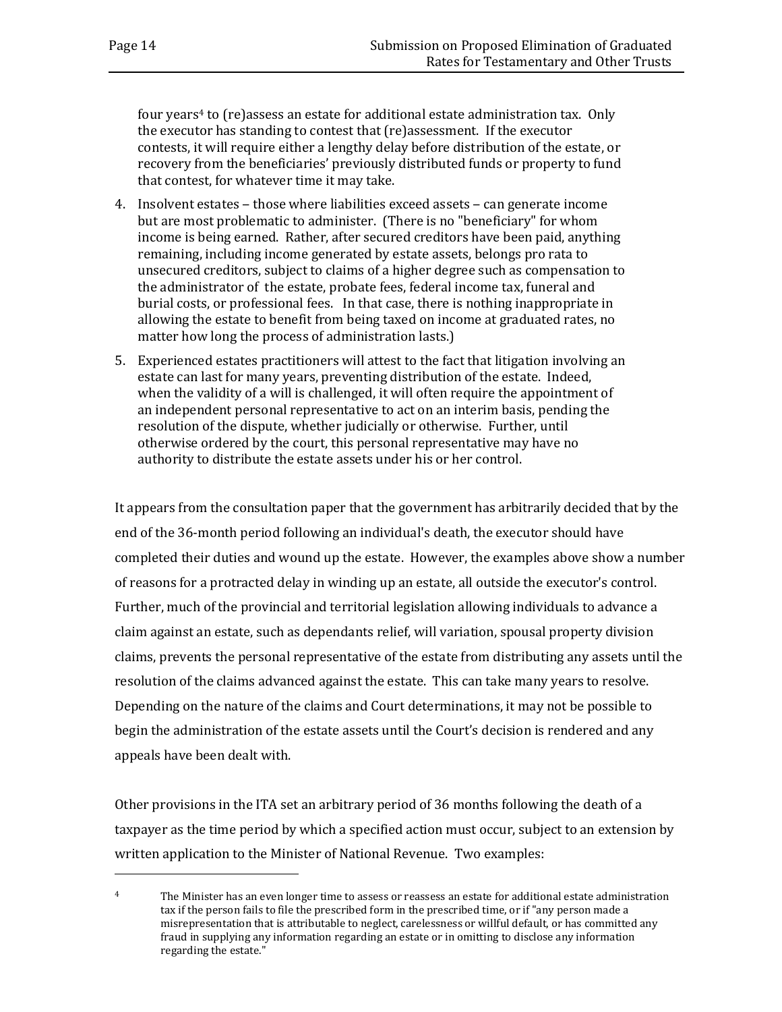four years[4](#page-17-0) to (re)assess an estate for additional estate administration tax. Only the executor has standing to contest that (re)assessment. If the executor contests, it will require either a lengthy delay before distribution of the estate, or recovery from the beneficiaries' previously distributed funds or property to fund that contest, for whatever time it may take.

- 4. Insolvent estates those where liabilities exceed assets can generate income but are most problematic to administer. (There is no "beneficiary" for whom income is being earned. Rather, after secured creditors have been paid, anything remaining, including income generated by estate assets, belongs pro rata to unsecured creditors, subject to claims of a higher degree such as compensation to the administrator of the estate, probate fees, federal income tax, funeral and burial costs, or professional fees. In that case, there is nothing inappropriate in allowing the estate to benefit from being taxed on income at graduated rates, no matter how long the process of administration lasts.)
- 5. Experienced estates practitioners will attest to the fact that litigation involving an estate can last for many years, preventing distribution of the estate. Indeed, when the validity of a will is challenged, it will often require the appointment of an independent personal representative to act on an interim basis, pending the resolution of the dispute, whether judicially or otherwise. Further, until otherwise ordered by the court, this personal representative may have no authority to distribute the estate assets under his or her control.

It appears from the consultation paper that the government has arbitrarily decided that by the end of the 36-month period following an individual's death, the executor should have completed their duties and wound up the estate. However, the examples above show a number of reasons for a protracted delay in winding up an estate, all outside the executor's control. Further, much of the provincial and territorial legislation allowing individuals to advance a claim against an estate, such as dependants relief, will variation, spousal property division claims, prevents the personal representative of the estate from distributing any assets until the resolution of the claims advanced against the estate. This can take many years to resolve. Depending on the nature of the claims and Court determinations, it may not be possible to begin the administration of the estate assets until the Court's decision is rendered and any appeals have been dealt with.

Other provisions in the ITA set an arbitrary period of 36 months following the death of a taxpayer as the time period by which a specified action must occur, subject to an extension by written application to the Minister of National Revenue. Two examples:

I

<span id="page-17-0"></span><sup>&</sup>lt;sup>4</sup> The Minister has an even longer time to assess or reassess an estate for additional estate administration tax if the person fails to file the prescribed form in the prescribed time, or if "any person made a misrepresentation that is attributable to neglect, carelessness or willful default, or has committed any fraud in supplying any information regarding an estate or in omitting to disclose any information regarding the estate."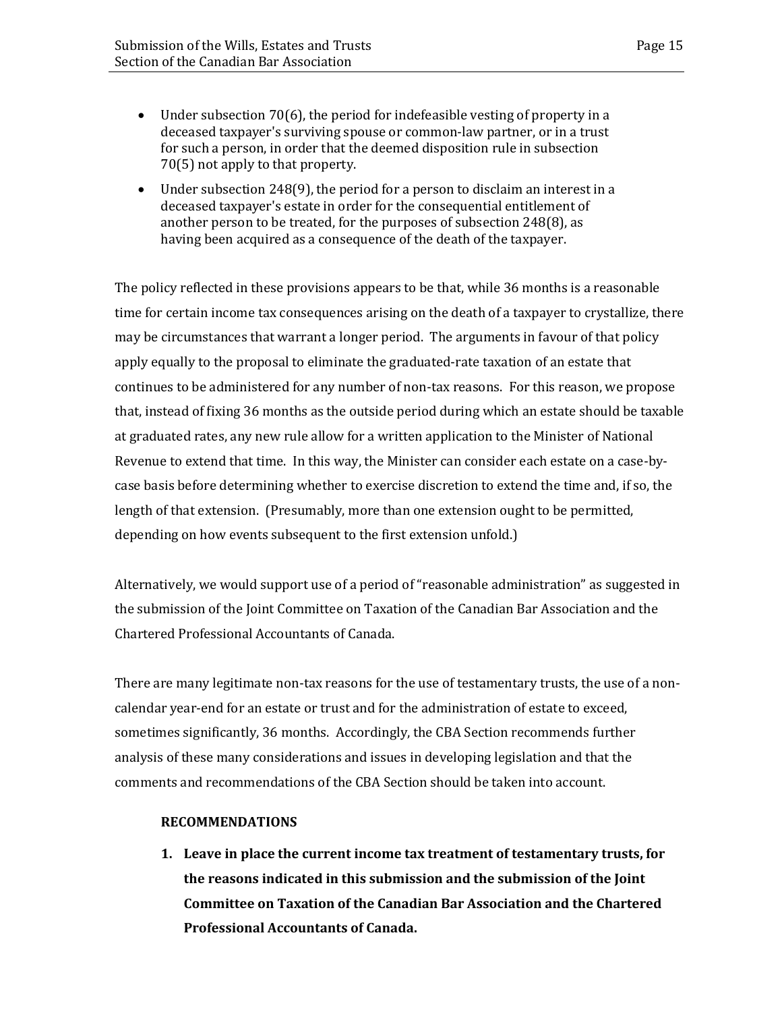- Under subsection 70(6), the period for indefeasible vesting of property in a deceased taxpayer's surviving spouse or common-law partner, or in a trust for such a person, in order that the deemed disposition rule in subsection 70(5) not apply to that property.
- Under subsection 248(9), the period for a person to disclaim an interest in a deceased taxpayer's estate in order for the consequential entitlement of another person to be treated, for the purposes of subsection 248(8), as having been acquired as a consequence of the death of the taxpayer.

The policy reflected in these provisions appears to be that, while 36 months is a reasonable time for certain income tax consequences arising on the death of a taxpayer to crystallize, there may be circumstances that warrant a longer period. The arguments in favour of that policy apply equally to the proposal to eliminate the graduated-rate taxation of an estate that continues to be administered for any number of non-tax reasons. For this reason, we propose that, instead of fixing 36 months as the outside period during which an estate should be taxable at graduated rates, any new rule allow for a written application to the Minister of National Revenue to extend that time. In this way, the Minister can consider each estate on a case-bycase basis before determining whether to exercise discretion to extend the time and, if so, the length of that extension. (Presumably, more than one extension ought to be permitted, depending on how events subsequent to the first extension unfold.)

Alternatively, we would support use of a period of "reasonable administration" as suggested in the submission of the Joint Committee on Taxation of the Canadian Bar Association and the Chartered Professional Accountants of Canada.

There are many legitimate non-tax reasons for the use of testamentary trusts, the use of a noncalendar year-end for an estate or trust and for the administration of estate to exceed, sometimes significantly, 36 months. Accordingly, the CBA Section recommends further analysis of these many considerations and issues in developing legislation and that the comments and recommendations of the CBA Section should be taken into account.

#### **RECOMMENDATIONS**

**1. Leave in place the current income tax treatment of testamentary trusts, for the reasons indicated in this submission and the submission of the Joint Committee on Taxation of the Canadian Bar Association and the Chartered Professional Accountants of Canada.**